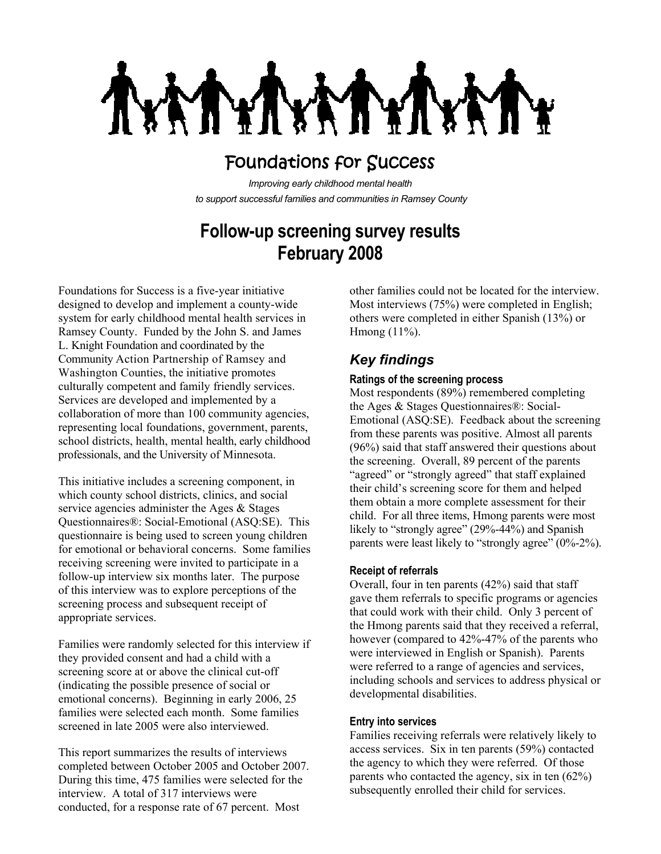NY 1 MY)

# Foundations for Success

*Improving early childhood mental health to support successful families and communities in Ramsey County*

## **Follow-up screening survey results February 2008**

Foundations for Success is a five-year initiative designed to develop and implement a county-wide system for early childhood mental health services in Ramsey County. Funded by the John S. and James L. Knight Foundation and coordinated by the Community Action Partnership of Ramsey and Washington Counties, the initiative promotes culturally competent and family friendly services. Services are developed and implemented by a collaboration of more than 100 community agencies, representing local foundations, government, parents, school districts, health, mental health, early childhood professionals, and the University of Minnesota.

This initiative includes a screening component, in which county school districts, clinics, and social service agencies administer the Ages & Stages Questionnaires®: Social-Emotional (ASQ:SE). This questionnaire is being used to screen young children for emotional or behavioral concerns. Some families receiving screening were invited to participate in a follow-up interview six months later. The purpose of this interview was to explore perceptions of the screening process and subsequent receipt of appropriate services.

Families were randomly selected for this interview if they provided consent and had a child with a screening score at or above the clinical cut-off (indicating the possible presence of social or emotional concerns). Beginning in early 2006, 25 families were selected each month. Some families screened in late 2005 were also interviewed.

This report summarizes the results of interviews completed between October 2005 and October 2007. During this time, 475 families were selected for the interview. A total of 317 interviews were conducted, for a response rate of 67 percent. Most

other families could not be located for the interview. Most interviews (75%) were completed in English; others were completed in either Spanish (13%) or Hmong (11%).

### *Key findings*

#### **Ratings of the screening process**

Most respondents (89%) remembered completing the Ages & Stages Questionnaires®: Social-Emotional (ASQ:SE). Feedback about the screening from these parents was positive. Almost all parents (96%) said that staff answered their questions about the screening. Overall, 89 percent of the parents "agreed" or "strongly agreed" that staff explained their child's screening score for them and helped them obtain a more complete assessment for their child. For all three items, Hmong parents were most likely to "strongly agree" (29%-44%) and Spanish parents were least likely to "strongly agree" (0%-2%).

#### **Receipt of referrals**

Overall, four in ten parents (42%) said that staff gave them referrals to specific programs or agencies that could work with their child. Only 3 percent of the Hmong parents said that they received a referral, however (compared to 42%-47% of the parents who were interviewed in English or Spanish). Parents were referred to a range of agencies and services, including schools and services to address physical or developmental disabilities.

#### **Entry into services**

Families receiving referrals were relatively likely to access services. Six in ten parents (59%) contacted the agency to which they were referred. Of those parents who contacted the agency, six in ten (62%) subsequently enrolled their child for services.